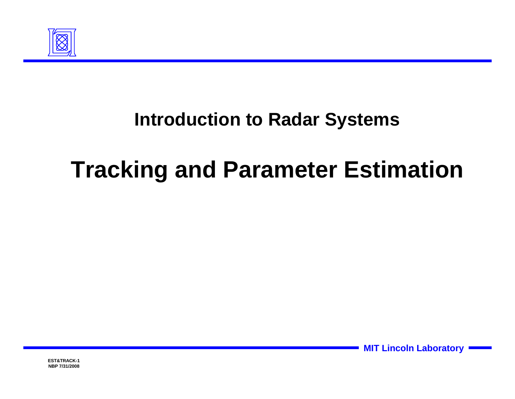

#### **Introduction to Radar Systems**

# **Tracking and Parameter Estimation**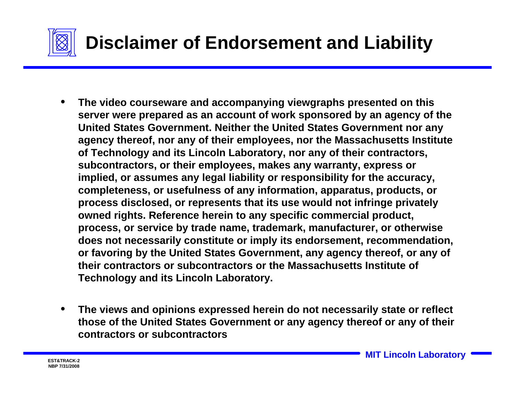

- **The video courseware and accompanying viewgraphs presented on this server were prepared as an account of work sponsored by an agency of the United States Government. Neither the United States Government nor any agency thereof, nor any of their employees, nor the Massachusetts Institute of Technology and its Lincoln Laboratory, nor any of their contractors, subcontractors, or their employees, makes any warranty, express or implied, or assumes any legal liability or responsibility for the accuracy, completeness, or usefulness of any information, apparatus, products, or process disclosed, or represents that its use would not infringe privately owned rights. Reference herein to any specific commercial product, process, or service by trade name, trademark, manufacturer, or otherwise does not necessarily constitute or imply its endorsement, recommendation, or favoring by the United States Government, any agency thereof, or any of their contractors or subcontractors or the Massachusetts Institute of Technology and its Lincoln Laboratory.**
- **The views and opinions expressed herein do not necessarily state or reflect those of the United States Government or any agency thereof or any of their contractors or subcontractors**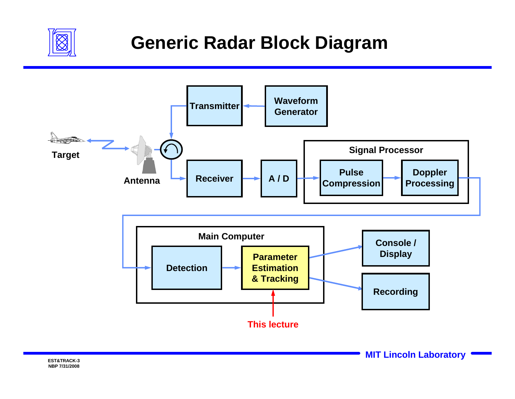

#### **Generic Radar Block Diagram**

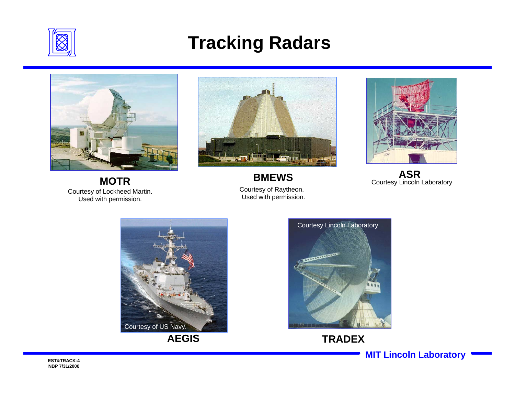

#### **Tracking Radars**



Courtesy of Lockheed Martin. Used with permission.



**BMEWS ASR**<br>R Courtesy Lincoln Courtesy of Raytheon. Used with permission.



Courtesy Lincoln Laboratory





**TRADEX**

**MIT Lincoln Laboratory**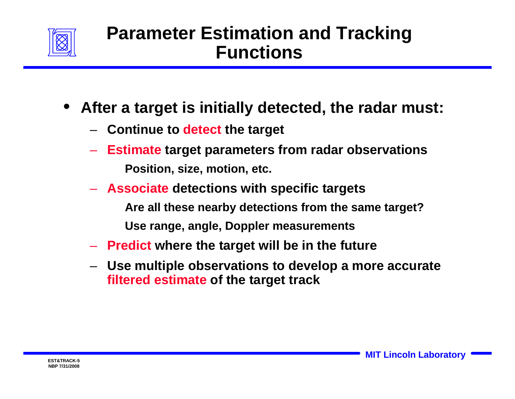

#### **Parameter Estimation and Tracking Functions**

- **After a target is initially detected, the radar must:**
	- **Continue to detect the target**
	- **Estimate target parameters from radar observations Position, size, motion, etc.**
	- **Associate detections with specific targets Are all these nearby detections from the same target?**

**Use range, angle, Doppler measurements**

- **Predict where the target will be in the future**
- **Use multiple observations to develop a more accurate filtered estimate of the target track**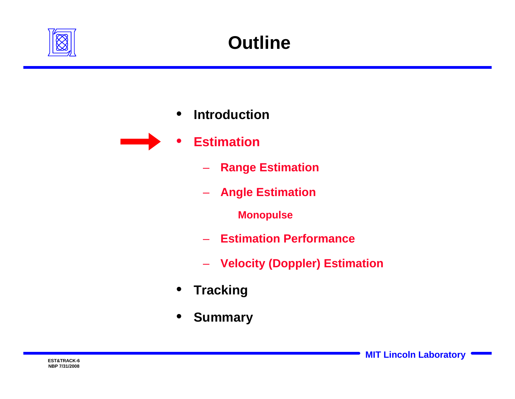

• **Introduction**



- **Estimation**
	- **Range Estimation**
	- **Angle Estimation**

**Monopulse**

- **Estimation Performance**
- **Velocity (Doppler) Estimation**
- **Tracking**
- **Summary**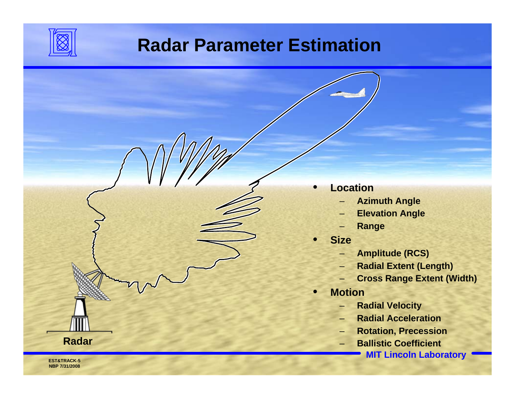

#### **Radar Parameter Estimation**

**Radar**

- **Location**
	- **Azimuth Angle**
	- **Elevation Angle**
	- **Range**
- **Size**
	- **Amplitude (RCS)**
	- **Radial Extent (Length)**
	- **Cross Range Extent (Width)**
- **Motion**
	- **Radial Velocity**
	- **Radial Acceleration**
	- **Rotation, Precession**
	- **Ballistic Coefficient**
- **MIT Lincoln Laboratory MIT Lincoln Laboratory**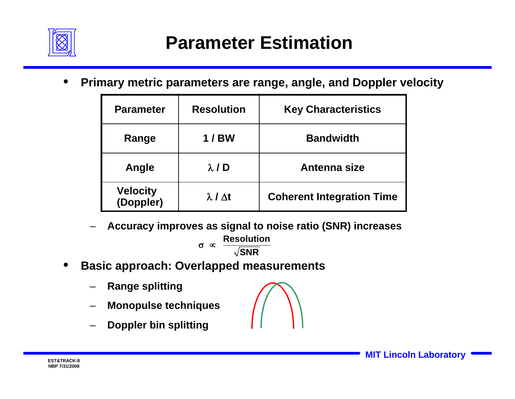

• **Primary metric parameters are range, angle, and Doppler velocity**

| <b>Parameter</b>             | <b>Resolution</b>    | <b>Key Characteristics</b>       |
|------------------------------|----------------------|----------------------------------|
| Range                        | 1/BW                 | <b>Bandwidth</b>                 |
| Angle                        | $\lambda$ / D        | Antenna size                     |
| <b>Velocity</b><br>(Doppler) | $\lambda / \Delta t$ | <b>Coherent Integration Time</b> |

– **Accuracy improves as signal to noise ratio (SNR) increases**

$$
\sigma \,\propto\,\frac{\text{Resolution}}{\sqrt{\text{SNR}}}
$$

- **Basic approach: Overlapped measurements**
	- **Range splitting**
	- **Monopulse techniques**
	- **Doppler bin splitting**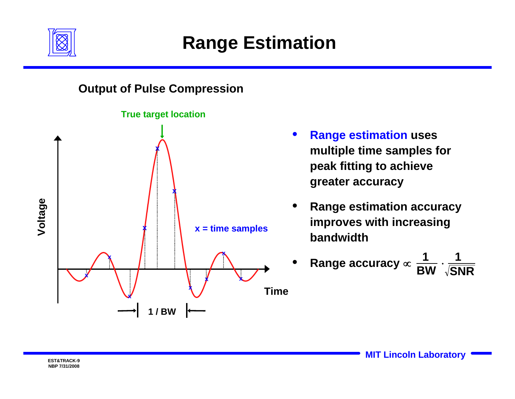

**Output of Pulse Compression**



- **Range estimation uses multiple time samples for peak fitting to achieve greater accuracy**
- **Range estimation accuracy improves with increasing bandwidth**

• **Range accuracy** <sup>∝</sup> **1 BW 1** . **SNR**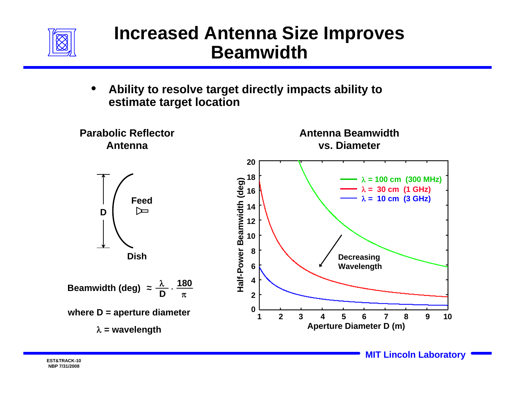

#### **Increased Antenna Size Improves Beamwidth**

• **Ability to resolve target directly impacts ability to estimate target location**



**MIT Lincoln Laboratory**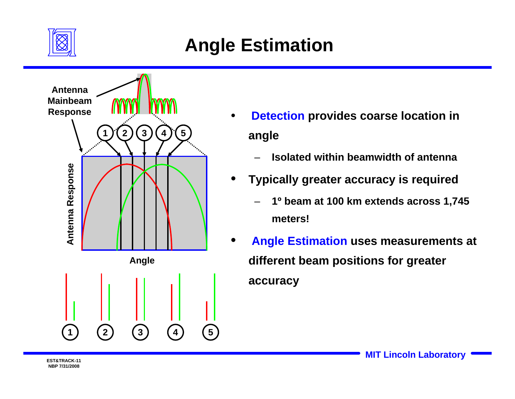

### **Angle Estimation**



- **Detection provides coarse location in angle**
	- **Isolated within beamwidth of antenna**
- **Typically greater accuracy is required**
	- **1º beam at 100 km extends across 1,745 meters!**
- **Angle Estimation uses measurements at different beam positions for greater accuracy**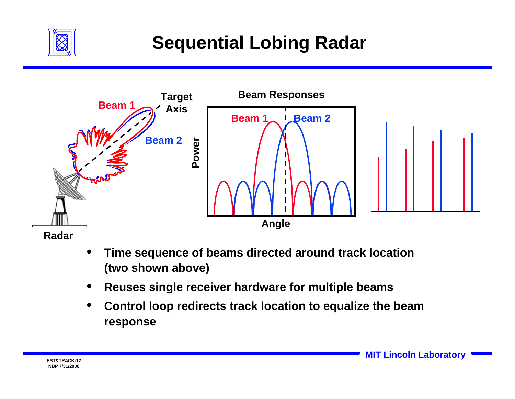

#### **Sequential Lobing Radar**



**Radar**

- **Time sequence of beams directed around track location (two shown above)**
- **Reuses single receiver hardware for multiple beams**
- **Control loop redirects track location to equalize the beam response**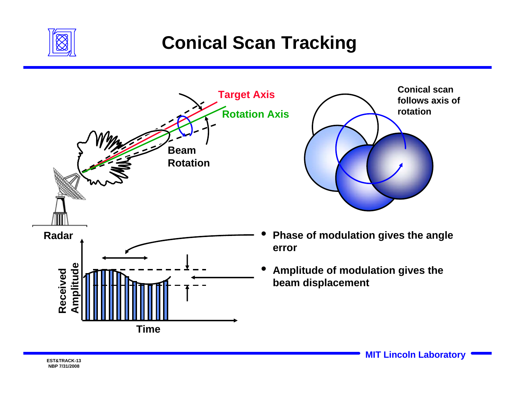

#### **Conical Scan Tracking**

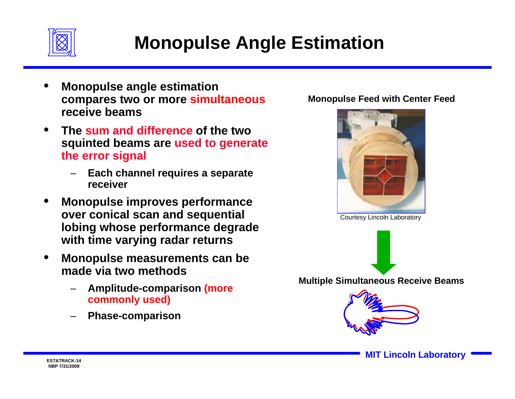

- **Monopulse angle estimation compares two or more simultaneous receive beams**
- **The sum and difference of the two squinted beams are used to generate the error signal**
	- **Each channel requires a separate receiver**
- **Monopulse improves performance over conical scan and sequential lobing whose performance degrade with time varying radar returns**
- **Monopulse measurements can be made via two methods**
	- **Amplitude-comparison (more commonly used)**
	- **Phase-comparison**

#### **Monopulse Feed with Center Feed**



Courtesy Lincoln Laboratory

**Multiple Simultaneous Receive Beams**



**MIT Lincoln Laboratory**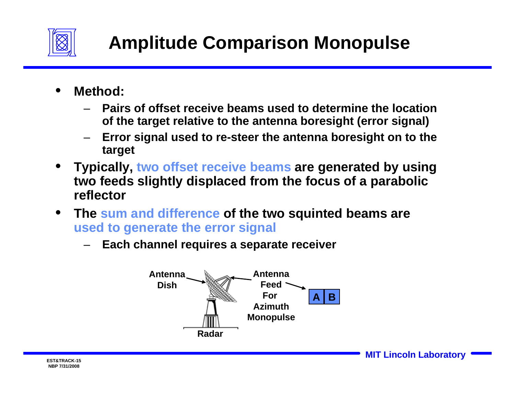

- **Method:** 
	- **Pairs of offset receive beams used to determine the location of the target relative to the antenna boresight (error signal)**
	- **Error signal used to re-steer the antenna boresight on to the target**
- **Typically, two offset receive beams are generated by using two feeds slightly displaced from the focus of a parabolic reflector**
- **The sum and difference of the two squinted beams are used to generate the error signal**
	- **Each channel requires a separate receiver**

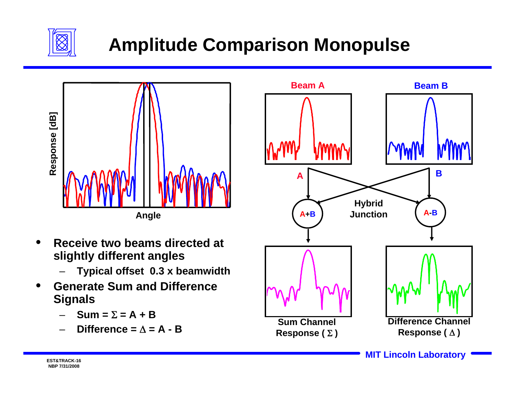

#### **Amplitude Comparison Monopulse**



- **Receive two beams directed at slightly different angles**
	- **Typical offset 0.3 x beamwidth**
- **Generate Sum and Difference Signals**
	- $Sum = \sum = A + B$
	- **Difference =** Δ**= A B**

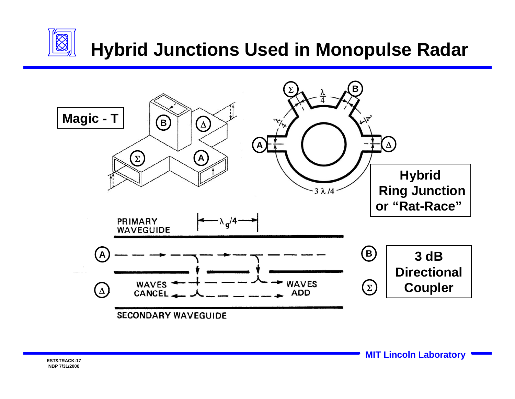

#### **Hybrid Junctions Used in Monopulse Radar**

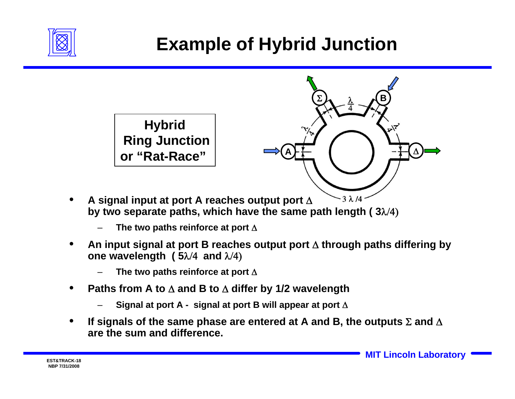

#### **Example of Hybrid Junction**



- **The two paths reinforce at port** Δ
- **An input signal at port B reaches output port** Δ **through paths differing by one wavelength ( 5**λ/4 **and** λ/4)
	- **The two paths reinforce at port** Δ
- **Paths from A to** Δ **and B to** Δ **differ by 1/2 wavelength**
	- **Signal at port A signal at port B will appear at port** Δ
- **If signals of the same phase are entered at A and B, the outputs** Σ **and** Δ **are the sum and difference.**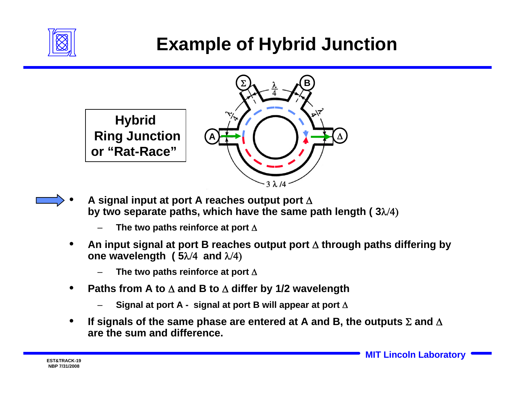

### **Example of Hybrid Junction**



- **A signal input at port A reaches output port** Δ **by two separate paths, which have the same path length ( 3**λ/4)
	- **The two paths reinforce at port** Δ
	- **An input signal at port B reaches output port** Δ **through paths differing by one wavelength ( 5**λ/4 **and** λ/4)
		- **The two paths reinforce at port** Δ
	- **Paths from A to** Δ **and B to** Δ **differ by 1/2 wavelength**
		- **Signal at port A signal at port B will appear at port** Δ
	- **If signals of the same phase are entered at A and B, the outputs** Σ **and** Δ **are the sum and difference.**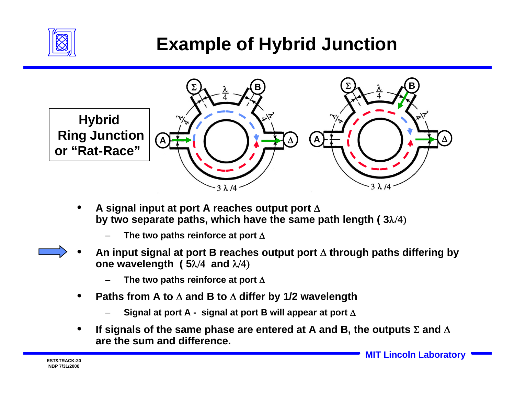

### **Example of Hybrid Junction**



- **A signal input at port A reaches output port** Δ **by two separate paths, which have the same path length ( 3**λ/4)
	- **The two paths reinforce at port** Δ
- **An input signal at port B reaches output port** Δ **through paths differing by one wavelength ( 5**λ/4 **and** λ/4)
	- **The two paths reinforce at port** Δ
- **Paths from A to** Δ **and B to** Δ **differ by 1/2 wavelength**
	- **Signal at port A signal at port B will appear at port** Δ
- **If signals of the same phase are entered at A and B, the outputs** Σ **and** Δ **are the sum and difference.**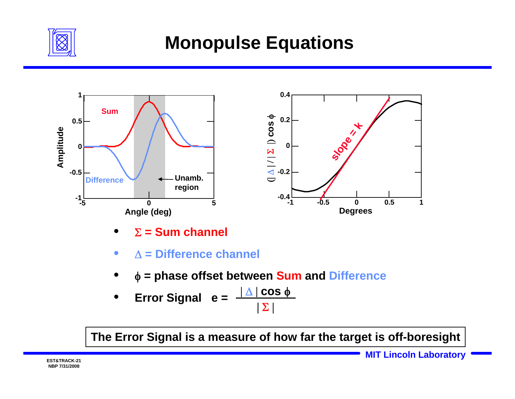

#### **Monopulse Equations**



- Σ**= Sum channel**
- Δ**= Difference channel**
- φ **= phase offset between Sum and Difference**

• Error Signal 
$$
e = \frac{|\Delta| \cos \phi}{|\Sigma|}
$$

**The Error Signal is a measure of how far the target is off-boresight**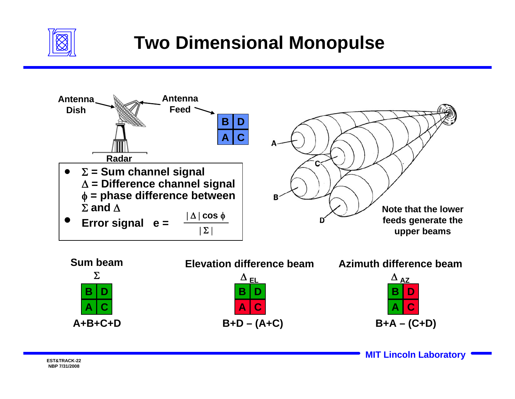

#### **Two Dimensional Monopulse**





**MIT Lincoln Laboratory**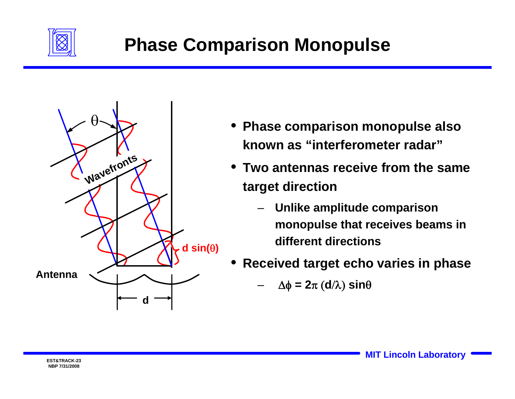



- **Phase comparison monopulse also known as "interferometer radar"**
- **Two antennas receive from the same target direction**
	- **Unlike amplitude comparison monopulse that receives beams in different directions**
- **Received target echo varies in phase**

$$
-\quad \Delta \phi = 2\pi (d/\lambda) \sin \theta
$$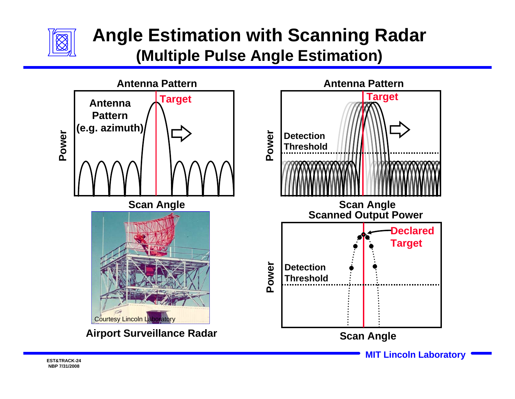

#### **Angle Estimation with Scanning Radar (Multiple Pulse Angle Estimation)**

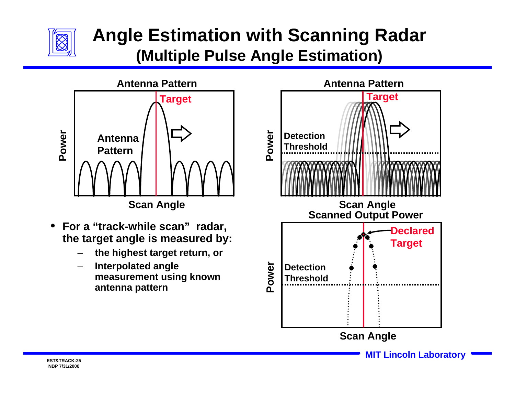

#### **Angle Estimation with Scanning Radar (Multiple Pulse Angle Estimation)**



- **For a "track-while scan" radar, the target angle is measured by:**
	- **the highest target return, or**
	- **Interpolated angle measurement using known antenna pattern**

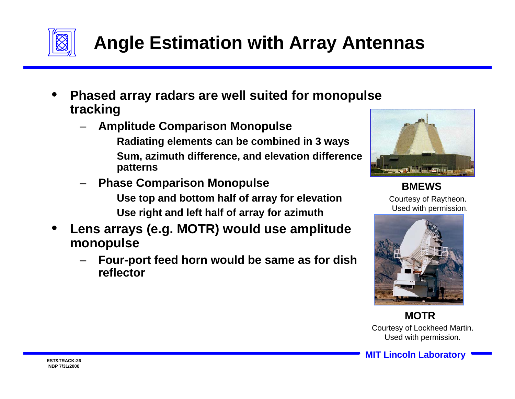

- **Phased array radars are well suited for monopulse tracking**
	- **Amplitude Comparison Monopulse**

**Radiating elements can be combined in 3 ways Sum, azimuth difference, and elevation difference patterns**

– **Phase Comparison Monopulse**

**Use top and bottom half of array for elevation Use right and left half of array for azimuth**

- **Lens arrays (e.g. MOTR) would use amplitude monopulse**
	- **Four-port feed horn would be same as for dish reflector**



**BMEWS**Courtesy of Raytheon. Used with permission.



**MOTR**Courtesy of Lockheed Martin. Used with permission.

**MIT Lincoln Laboratory**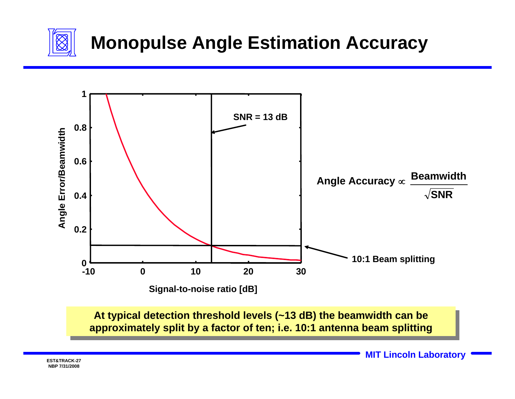

#### **Monopulse Angle Estimation Accuracy**



**At typical detection threshold levels (~13 dB) the beamwidth can be At typical detection threshold levels (~13 dB) the beamwidth can be approximately split by a factor of ten; i.e. 10:1 antenna beam splitting approximately split by a factor of ten; i.e. 10:1 antenna beam splitting**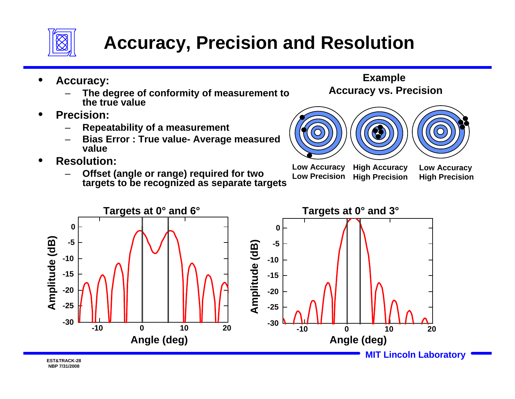

## **Accuracy, Precision and Resolution**

- **Accuracy:**
	- **The degree of conformity of measurement to the true value**
- **Precision:**
	- **Repeatability of a measurement**
	- **Bias Error : True value- Average measured value**
- **Resolution:**
	- **Offset (angle or range) required for two targets to be recognized as separate targets**

#### **Example Accuracy vs. Precision**



**Low Accuracy Low Precision High Precision**

**Low Accuracy High Precision**



EST&TRACK-28 **NBP 7/31/2008**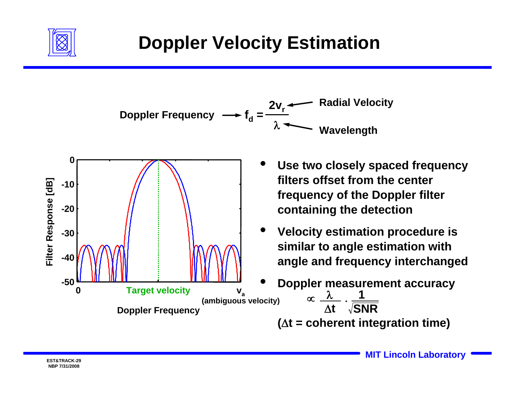

### **Doppler Velocity Estimation**





- **Use two closely spaced frequency filters offset from the center frequency of the Doppler filter containing the detection**
- **Velocity estimation procedure is similar to angle estimation with angle and frequency interchanged**

• **Doppler measurement accuracy**   $\alpha$   $\lambda$ **(**Δ**t = coherent integration time) 1** . **SNR**Δ**t**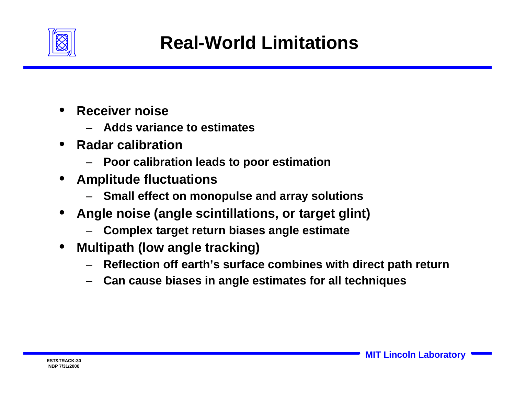

- **Receiver noise**
	- **Adds variance to estimates**
- **Radar calibration**
	- **Poor calibration leads to poor estimation**
- **Amplitude fluctuations**
	- **Small effect on monopulse and array solutions**
- **Angle noise (angle scintillations, or target glint)** 
	- **Complex target return biases angle estimate**
- **Multipath (low angle tracking)**
	- **Reflection off earth's surface combines with direct path return**
	- **Can cause biases in angle estimates for all techniques**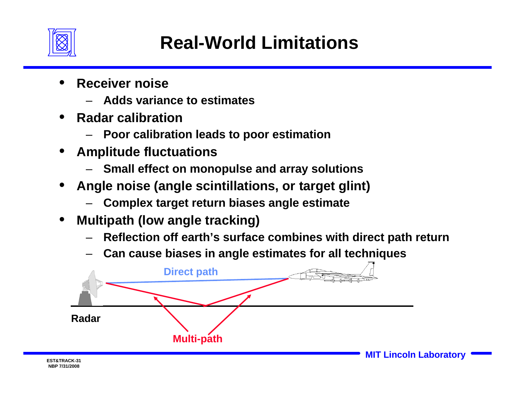

- **Receiver noise**
	- **Adds variance to estimates**
- **Radar calibration**
	- **Poor calibration leads to poor estimation**
- **Amplitude fluctuations**
	- **Small effect on monopulse and array solutions**
- **Angle noise (angle scintillations, or target glint)** 
	- **Complex target return biases angle estimate**
- **Multipath (low angle tracking)**
	- **Reflection off earth's surface combines with direct path return**
	- **Can cause biases in angle estimates for all techniques**

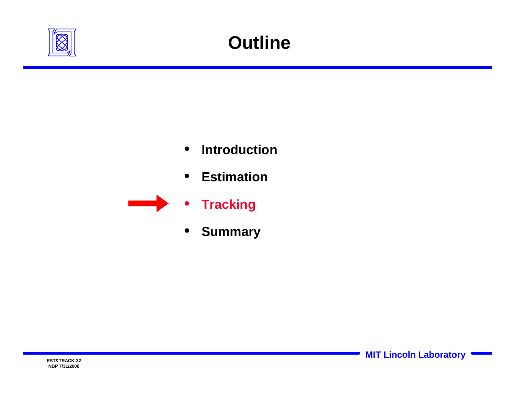

- **Introduction**
- **Estimation**
- **Tracking**
	- **Summary**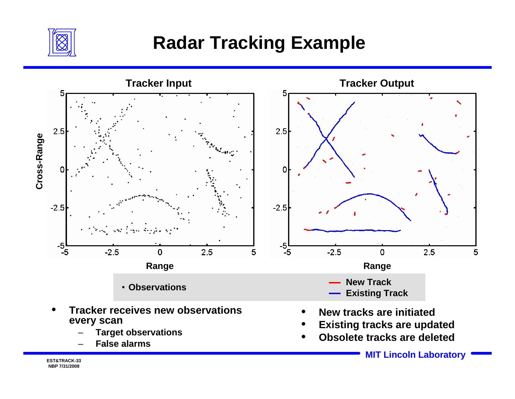

### **Radar Tracking Example**



- **Tracker receives new observations every scan**
	- **Target observations**
	- **False alarms**
- **New tracks are initiated**
- **Existing tracks are updated**
- **Obsolete tracks are deleted**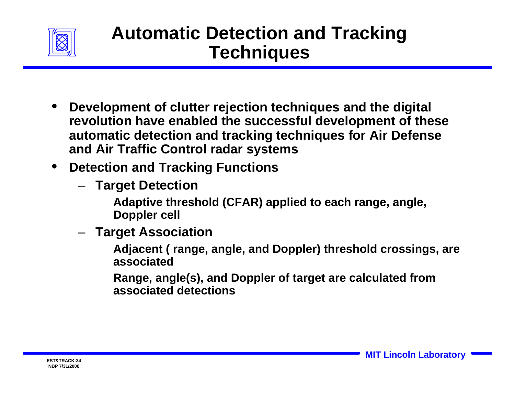

- **Development of clutter rejection techniques and the digital revolution have enabled the successful development of these automatic detection and tracking techniques for Air Defense and Air Traffic Control radar systems**
- **Detection and Tracking Functions**
	- **Target Detection**

**Adaptive threshold (CFAR) applied to each range, angle, Doppler cell** 

– **Target Association**

**Adjacent ( range, angle, and Doppler) threshold crossings, are associated** 

**Range, angle(s), and Doppler of target are calculated from associated detections**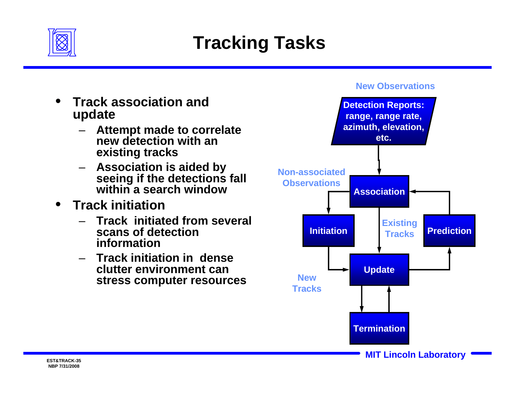

#### **Tracking Tasks**

#### • **Track association and update**

- **Attempt made to correlate new detection with an existing tracks**
- **Association is aided by seeing if the detections fall within a search window**

#### • **Track initiation**

- **Track initiated from several scans of detection information**
- **Track initiation in dense clutter environment can stress computer resources**

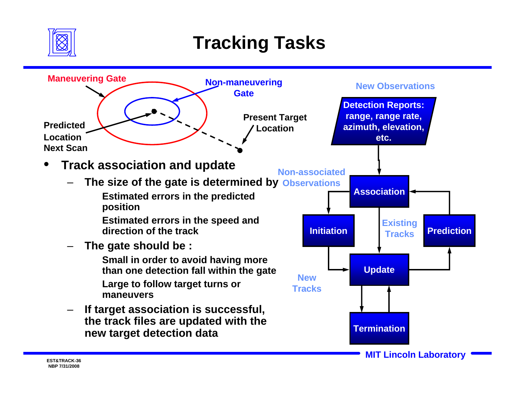

#### **Tracking Tasks**

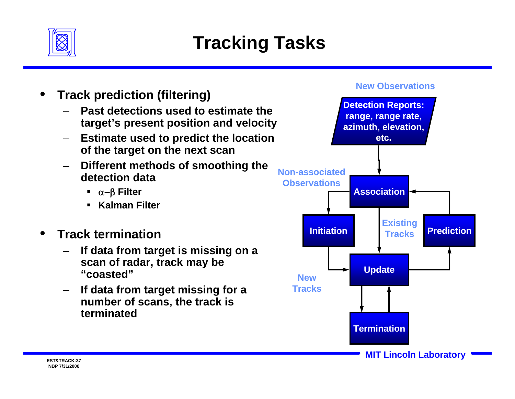

### **Tracking Tasks**

- **Track prediction (filtering)**
	- **Past detections used to estimate the target's present position and velocity**
	- **Estimate used to predict the location of the target on the next scan**
	- **Different methods of smoothing the detection data** 
		- α−β **Filter**
		- **Kalman Filter**
- **Track termination**
	- **If data from target is missing on a scan of radar, track may be "coasted"**
	- **If data from target missing for a number of scans, the track is terminated**

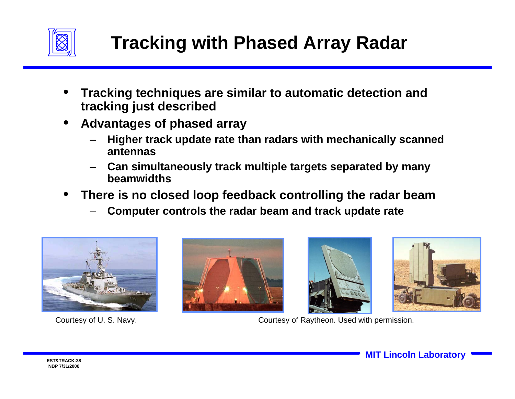

- **Tracking techniques are similar to automatic detection and tracking just described**
- **Advantages of phased array**
	- **Higher track update rate than radars with mechanically scanned antennas**
	- **Can simultaneously track multiple targets separated by many beamwidths**
- **There is no closed loop feedback controlling the radar beam**
	- **Computer controls the radar beam and track update rate**









Courtesy of U. S. Navy. Courtesy of Raytheon. Used with permission.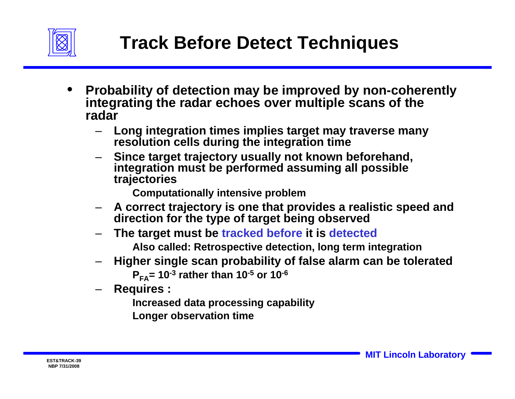

- **Probability of detection may be improved by non-coherently integrating the radar echoes over multiple scans of the radar**
	- **Long integration times implies target may traverse many resolution cells during the integration time**
	- **Since target trajectory usually not known beforehand, integration must be performed assuming all possible trajectories**

**Computationally intensive problem**

- **A correct trajectory is one that provides a realistic speed and direction for the type of target being observed**
- **The target must be tracked before it is detected Also called: Retrospective detection, long term integration**
- **Higher single scan probability of false alarm can be tolerated**  $P_{FA}$  = 10<sup>-3</sup> rather than 10<sup>-5</sup> or 10<sup>-6</sup>
- **Requires :**

**Increased data processing capability**

**Longer observation time**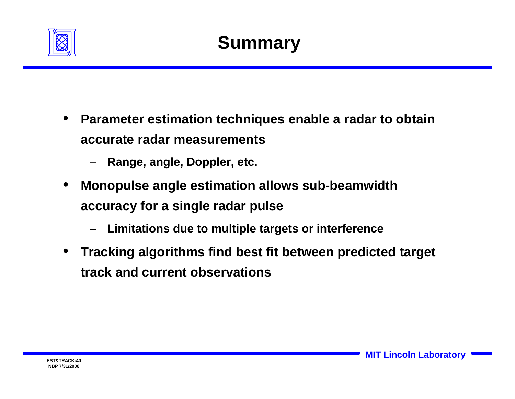

- **Parameter estimation techniques enable a radar to obtain accurate radar measurements**
	- **Range, angle, Doppler, etc.**
- **Monopulse angle estimation allows sub-beamwidth accuracy for a single radar pulse** 
	- **Limitations due to multiple targets or interference**
- **Tracking algorithms find best fit between predicted target track and current observations**